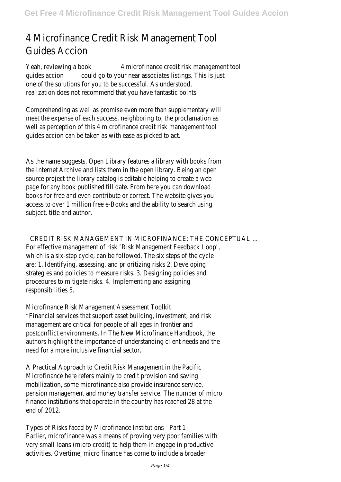## 4 Microfinance Credit Risk Management Tool Guides Accion

Yeah, reviewing a book 4 microfinance credit risk management tool guides accion could go to your near associates listings. This is just one of the solutions for you to be successful. As understood, realization does not recommend that you have fantastic points.

Comprehending as well as promise even more than supplementary will meet the expense of each success. neighboring to, the proclamation as well as perception of this 4 microfinance credit risk management tool guides accion can be taken as with ease as picked to act.

As the name suggests, Open Library features a library with books from the Internet Archive and lists them in the open library. Being an open source project the library catalog is editable helping to create a web page for any book published till date. From here you can download books for free and even contribute or correct. The website gives you access to over 1 million free e-Books and the ability to search using subject, title and author.

CREDIT RISK MANAGEMENT IN MICROFINANCE: THE CONCEPTUAL ... For effective management of risk 'Risk Management Feedback Loop', which is a six-step cycle, can be followed. The six steps of the cycle are: 1. Identifying, assessing, and prioritizing risks 2. Developing strategies and policies to measure risks. 3. Designing policies and procedures to mitigate risks. 4. Implementing and assigning responsibilities 5.

Microfinance Risk Management Assessment Toolkit "Financial services that support asset building, investment, and risk management are critical for people of all ages in frontier and postconflict environments. In The New Microfinance Handbook, the authors highlight the importance of understanding client needs and the need for a more inclusive financial sector.

A Practical Approach to Credit Risk Management in the Pacific Microfinance here refers mainly to credit provision and saving mobilization, some microfinance also provide insurance service, pension management and money transfer service. The number of micro finance institutions that operate in the country has reached 28 at the end of 2012.

Types of Risks faced by Microfinance Institutions - Part 1 Earlier, microfinance was a means of proving very poor families with very small loans (micro credit) to help them in engage in productive activities. Overtime, micro finance has come to include a broader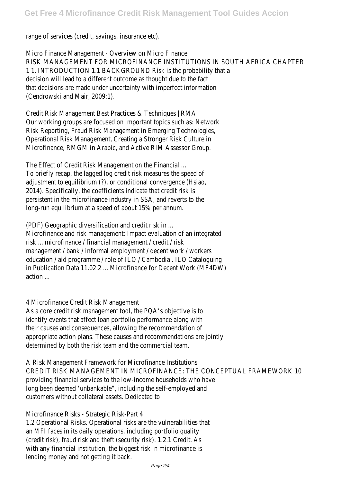range of services (credit, savings, insurance etc).

Micro Finance Management - Overview on Micro Finance RISK MANAGEMENT FOR MICROFINANCE INSTITUTIONS IN SOUTH AFRICA CHAPTER 1 1. INTRODUCTION 1.1 BACKGROUND Risk is the probability that a decision will lead to a different outcome as thought due to the fact that decisions are made under uncertainty with imperfect information (Cendrowski and Mair, 2009:1).

Credit Risk Management Best Practices & Techniques | RMA Our working groups are focused on important topics such as: Network Risk Reporting, Fraud Risk Management in Emerging Technologies, Operational Risk Management, Creating a Stronger Risk Culture in Microfinance, RMGM in Arabic, and Active RIM Assessor Group.

The Effect of Credit Risk Management on the Financial ... To briefly recap, the lagged log credit risk measures the speed of adjustment to equilibrium (?), or conditional convergence (Hsiao, 2014). Specifically, the coefficients indicate that credit risk is persistent in the microfinance industry in SSA, and reverts to the long-run equilibrium at a speed of about 15% per annum.

(PDF) Geographic diversification and credit risk in ... Microfinance and risk management: Impact evaluation of an integrated risk ... microfinance / financial management / credit / risk management / bank / informal employment / decent work / workers education / aid programme / role of ILO / Cambodia . ILO Cataloguing in Publication Data 11.02.2 ... Microfinance for Decent Work (MF4DW) action ...

4 Microfinance Credit Risk Management

As a core credit risk management tool, the PQA's objective is to identify events that affect loan portfolio performance along with their causes and consequences, allowing the recommendation of appropriate action plans. These causes and recommendations are jointly determined by both the risk team and the commercial team.

A Risk Management Framework for Microfinance Institutions CREDIT RISK MANAGEMENT IN MICROFINANCE: THE CONCEPTUAL FRAMEWORK 10 providing financial services to the low-income households who have long been deemed 'unbankable", including the self-employed and customers without collateral assets. Dedicated to

Microfinance Risks - Strategic Risk-Part 4

1.2 Operational Risks. Operational risks are the vulnerabilities that an MFI faces in its daily operations, including portfolio quality (credit risk), fraud risk and theft (security risk). 1.2.1 Credit. As with any financial institution, the biggest risk in microfinance is lending money and not getting it back.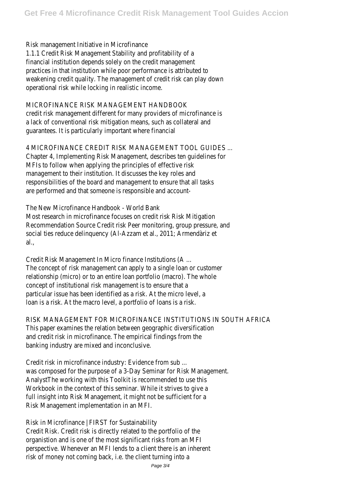Risk management Initiative in Microfinance 1.1.1 Credit Risk Management Stability and profitability of a financial institution depends solely on the credit management practices in that institution while poor performance is attributed to weakening credit quality. The management of credit risk can play down operational risk while locking in realistic income.

## MICROFINANCE RISK MANAGEMENT HANDBOOK

credit risk management different for many providers of microfinance is a lack of conventional risk mitigation means, such as collateral and guarantees. It is particularly important where financial

4 MICROFINANCE CREDIT RISK MANAGEMENT TOOL GUIDES ... Chapter 4, Implementing Risk Management, describes ten guidelines for MFIs to follow when applying the principles of effective risk management to their institution. It discusses the key roles and responsibilities of the board and management to ensure that all tasks are performed and that someone is responsible and account-

The New Microfinance Handbook - World Bank Most research in microfinance focuses on credit risk Risk Mitigation Recommendation Source Credit risk Peer monitoring, group pressure, and social ties reduce delinquency (Al-Azzam et al., 2011; Armendàriz et al.,

Credit Risk Management In Micro finance Institutions (A ... The concept of risk management can apply to a single loan or customer relationship (micro) or to an entire loan portfolio (macro). The whole concept of institutional risk management is to ensure that a particular issue has been identified as a risk. At the micro level, a loan is a risk. At the macro level, a portfolio of loans is a risk.

RISK MANAGEMENT FOR MICROFINANCE INSTITUTIONS IN SOUTH AFRICA This paper examines the relation between geographic diversification and credit risk in microfinance. The empirical findings from the banking industry are mixed and inconclusive.

Credit risk in microfinance industry: Evidence from sub ... was composed for the purpose of a 3-Day Seminar for Risk Management. AnalystThe working with this Toolkit is recommended to use this Workbook in the context of this seminar. While it strives to give a full insight into Risk Management, it might not be sufficient for a Risk Management implementation in an MFI.

Risk in Microfinance | FIRST for Sustainability Credit Risk. Credit risk is directly related to the portfolio of the organistion and is one of the most significant risks from an MFI perspective. Whenever an MFI lends to a client there is an inherent risk of money not coming back, i.e. the client turning into a